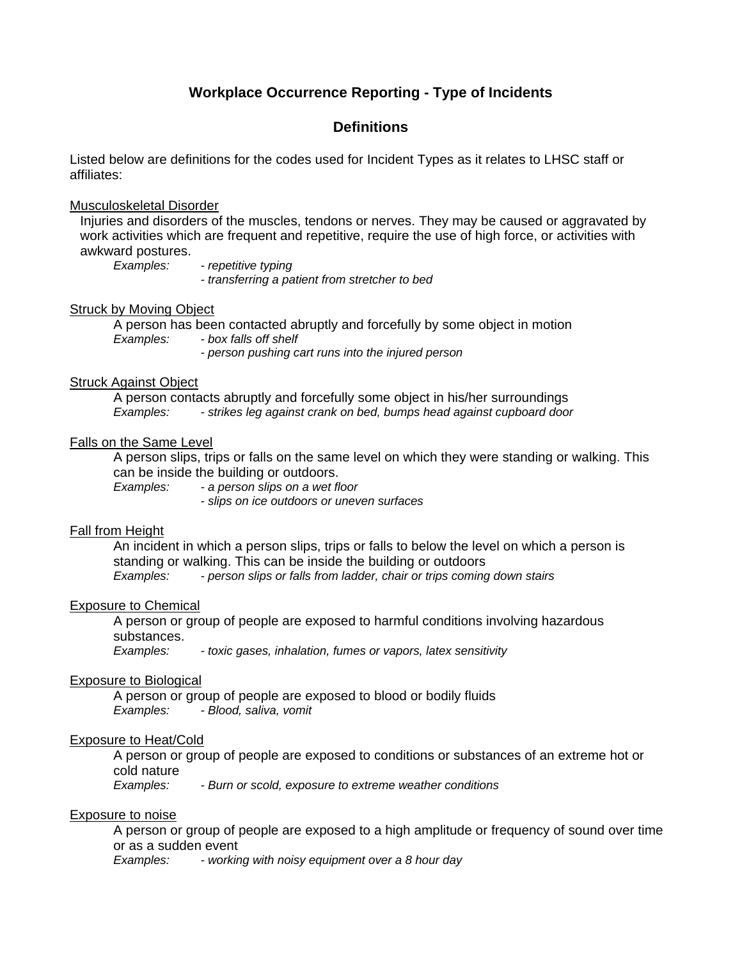# **Workplace Occurrence Reporting - Type of Incidents**

## **Definitions**

Listed below are definitions for the codes used for Incident Types as it relates to LHSC staff or affiliates:

#### Musculoskeletal Disorder

Injuries and disorders of the muscles, tendons or nerves. They may be caused or aggravated by work activities which are frequent and repetitive, require the use of high force, or activities with awkward postures.

*Examples: - repetitive typing* 

*- transferring a patient from stretcher to bed*

## Struck by Moving Object

A person has been contacted abruptly and forcefully by some object in motion *Examples: - box falls off shelf - person pushing cart runs into the injured person* 

#### Struck Against Object

A person contacts abruptly and forcefully some object in his/her surroundings *Examples: - strikes leg against crank on bed, bumps head against cupboard door* 

## Falls on the Same Level

A person slips, trips or falls on the same level on which they were standing or walking. This can be inside the building or outdoors.

*Examples: - a person slips on a wet floor* 

*- slips on ice outdoors or uneven surfaces* 

#### **Fall from Height**

An incident in which a person slips, trips or falls to below the level on which a person is standing or walking. This can be inside the building or outdoors *Examples: - person slips or falls from ladder, chair or trips coming down stairs* 

#### Exposure to Chemical

A person or group of people are exposed to harmful conditions involving hazardous substances.

*Examples: - toxic gases, inhalation, fumes or vapors, latex sensitivity* 

#### Exposure to Biological

A person or group of people are exposed to blood or bodily fluids *Examples: - Blood, saliva, vomit* 

#### Exposure to Heat/Cold

A person or group of people are exposed to conditions or substances of an extreme hot or cold nature

*Examples: - Burn or scold, exposure to extreme weather conditions* 

#### Exposure to noise

A person or group of people are exposed to a high amplitude or frequency of sound over time or as a sudden event

*Examples: - working with noisy equipment over a 8 hour day*